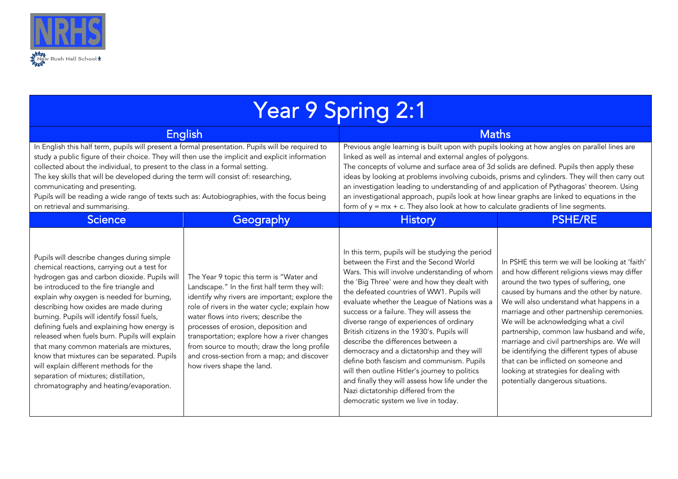

| Year 9 Spring 2:1                                                                                                                                                                                                                                                                                                                                                                                                                                                                                                                                                                                                                                 |                                                                                                                                                                                                                                                                                                                                                                                                                                                          |                                                                                                                                                                                                                                                                                                                                                                                                                                                                                                                                                                                                                                                                                                                                                        |                                                                                                                                                                                                                                                                                                                                                                                                                                                                                                                                                                                               |  |  |
|---------------------------------------------------------------------------------------------------------------------------------------------------------------------------------------------------------------------------------------------------------------------------------------------------------------------------------------------------------------------------------------------------------------------------------------------------------------------------------------------------------------------------------------------------------------------------------------------------------------------------------------------------|----------------------------------------------------------------------------------------------------------------------------------------------------------------------------------------------------------------------------------------------------------------------------------------------------------------------------------------------------------------------------------------------------------------------------------------------------------|--------------------------------------------------------------------------------------------------------------------------------------------------------------------------------------------------------------------------------------------------------------------------------------------------------------------------------------------------------------------------------------------------------------------------------------------------------------------------------------------------------------------------------------------------------------------------------------------------------------------------------------------------------------------------------------------------------------------------------------------------------|-----------------------------------------------------------------------------------------------------------------------------------------------------------------------------------------------------------------------------------------------------------------------------------------------------------------------------------------------------------------------------------------------------------------------------------------------------------------------------------------------------------------------------------------------------------------------------------------------|--|--|
| <b>English</b>                                                                                                                                                                                                                                                                                                                                                                                                                                                                                                                                                                                                                                    |                                                                                                                                                                                                                                                                                                                                                                                                                                                          | <b>Maths</b>                                                                                                                                                                                                                                                                                                                                                                                                                                                                                                                                                                                                                                                                                                                                           |                                                                                                                                                                                                                                                                                                                                                                                                                                                                                                                                                                                               |  |  |
| In English this half term, pupils will present a formal presentation. Pupils will be required to<br>study a public figure of their choice. They will then use the implicit and explicit information<br>collected about the individual, to present to the class in a formal setting.<br>The key skills that will be developed during the term will consist of: researching,<br>communicating and presenting.<br>Pupils will be reading a wide range of texts such as: Autobiographies, with the focus being<br>on retrieval and summarising.                                                                                                       |                                                                                                                                                                                                                                                                                                                                                                                                                                                          | Previous angle learning is built upon with pupils looking at how angles on parallel lines are<br>linked as well as internal and external angles of polygons.<br>The concepts of volume and surface area of 3d solids are defined. Pupils then apply these<br>ideas by looking at problems involving cuboids, prisms and cylinders. They will then carry out<br>an investigation leading to understanding of and application of Pythagoras' theorem. Using<br>an investigational approach, pupils look at how linear graphs are linked to equations in the<br>form of $y = mx + c$ . They also look at how to calculate gradients of line segments.                                                                                                     |                                                                                                                                                                                                                                                                                                                                                                                                                                                                                                                                                                                               |  |  |
| <b>Science</b>                                                                                                                                                                                                                                                                                                                                                                                                                                                                                                                                                                                                                                    | Geography                                                                                                                                                                                                                                                                                                                                                                                                                                                | <b>History</b>                                                                                                                                                                                                                                                                                                                                                                                                                                                                                                                                                                                                                                                                                                                                         | <b>PSHE/RE</b>                                                                                                                                                                                                                                                                                                                                                                                                                                                                                                                                                                                |  |  |
| Pupils will describe changes during simple<br>chemical reactions, carrying out a test for<br>hydrogen gas and carbon dioxide. Pupils will<br>be introduced to the fire triangle and<br>explain why oxygen is needed for burning,<br>describing how oxides are made during<br>burning. Pupils will identify fossil fuels,<br>defining fuels and explaining how energy is<br>released when fuels burn. Pupils will explain<br>that many common materials are mixtures,<br>know that mixtures can be separated. Pupils<br>will explain different methods for the<br>separation of mixtures; distillation,<br>chromatography and heating/evaporation. | The Year 9 topic this term is "Water and<br>Landscape." In the first half term they will:<br>identify why rivers are important; explore the<br>role of rivers in the water cycle; explain how<br>water flows into rivers; describe the<br>processes of erosion, deposition and<br>transportation; explore how a river changes<br>from source to mouth; draw the long profile<br>and cross-section from a map; and discover<br>how rivers shape the land. | In this term, pupils will be studying the period<br>between the First and the Second World<br>Wars. This will involve understanding of whom<br>the 'Big Three' were and how they dealt with<br>the defeated countries of WW1. Pupils will<br>evaluate whether the League of Nations was a<br>success or a failure. They will assess the<br>diverse range of experiences of ordinary<br>British citizens in the 1930's. Pupils will<br>describe the differences between a<br>democracy and a dictatorship and they will<br>define both fascism and communism. Pupils<br>will then outline Hitler's journey to politics<br>and finally they will assess how life under the<br>Nazi dictatorship differed from the<br>democratic system we live in today. | In PSHE this term we will be looking at 'faith'<br>and how different religions views may differ<br>around the two types of suffering, one<br>caused by humans and the other by nature.<br>We will also understand what happens in a<br>marriage and other partnership ceremonies.<br>We will be acknowledging what a civil<br>partnership, common law husband and wife,<br>marriage and civil partnerships are. We will<br>be identifying the different types of abuse<br>that can be inflicted on someone and<br>looking at strategies for dealing with<br>potentially dangerous situations. |  |  |